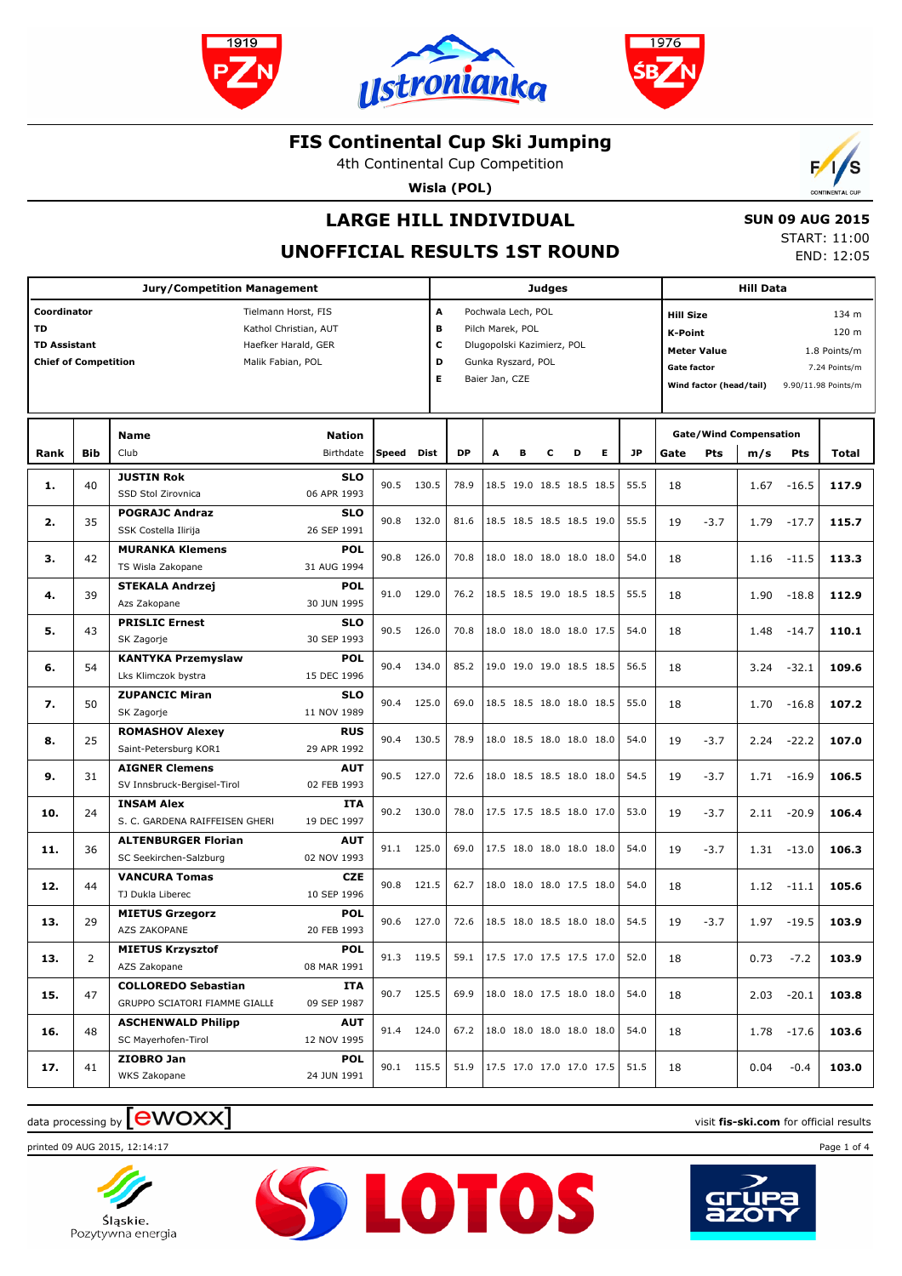





4th Continental Cup Competition

**Wisla (POL)**



# **LARGE HILL INDIVIDUAL**

 **SUN 09 AUG 2015** START: 11:00

END: 12:05

## **UNOFFICIAL RESULTS 1ST ROUND**

|                                                                         |            |                                                                                          |                                         |            |                       | <b>Judges</b>                                                                                                |   |   |   |                                  | <b>Hill Data</b>                                                                                                          |      |                                             |        |                                                 |               |       |
|-------------------------------------------------------------------------|------------|------------------------------------------------------------------------------------------|-----------------------------------------|------------|-----------------------|--------------------------------------------------------------------------------------------------------------|---|---|---|----------------------------------|---------------------------------------------------------------------------------------------------------------------------|------|---------------------------------------------|--------|-------------------------------------------------|---------------|-------|
| Coordinator<br>TD<br><b>TD Assistant</b><br><b>Chief of Competition</b> |            | Tielmann Horst, FIS<br>Kathol Christian, AUT<br>Haefker Harald, GER<br>Malik Fabian, POL |                                         |            | A<br>в<br>c<br>D<br>Е | Pochwala Lech, POL<br>Pilch Marek, POL<br>Dlugopolski Kazimierz, POL<br>Gunka Ryszard, POL<br>Baier Jan, CZE |   |   |   |                                  | <b>Hill Size</b><br><b>K-Point</b><br><b>Meter Value</b><br>Gate factor<br>Wind factor (head/tail)<br>9.90/11.98 Points/m |      |                                             |        | 134 m<br>120 m<br>1.8 Points/m<br>7.24 Points/m |               |       |
| Rank                                                                    | <b>Bib</b> | <b>Name</b><br>Club                                                                      | Speed                                   | Dist       | <b>DP</b>             | A                                                                                                            | В | c | D | Е                                | <b>JP</b>                                                                                                                 | Gate | <b>Gate/Wind Compensation</b><br><b>Pts</b> | m/s    | Pts                                             | Total         |       |
| 1.                                                                      | 40         | <b>JUSTIN Rok</b><br>SSD Stol Zirovnica                                                  | <b>SLO</b><br>06 APR 1993               | 90.5       | 130.5                 | 78.9                                                                                                         |   |   |   | 18.5 19.0 18.5 18.5 18.5         |                                                                                                                           | 55.5 | 18                                          |        | 1.67                                            | $-16.5$       | 117.9 |
| 2.                                                                      | 35         | <b>POGRAJC Andraz</b><br>SSK Costella Ilirija                                            | <b>SLO</b><br>26 SEP 1991               | 90.8       | 132.0                 | 81.6                                                                                                         |   |   |   | 18.5 18.5 18.5 18.5 19.0         |                                                                                                                           | 55.5 | 19                                          | $-3.7$ | 1.79                                            | $-17.7$       | 115.7 |
| з.                                                                      | 42         | <b>MURANKA Klemens</b><br>TS Wisla Zakopane                                              | <b>POL</b><br>31 AUG 1994               | 90.8       | 126.0                 | 70.8                                                                                                         |   |   |   | 18.0 18.0 18.0 18.0 18.0         |                                                                                                                           | 54.0 | 18                                          |        | 1.16                                            | $-11.5$       | 113.3 |
| 4.                                                                      | 39         | <b>STEKALA Andrzej</b><br>Azs Zakopane                                                   | <b>POL</b><br>30 JUN 1995               | 91.0       | 129.0                 | 76.2                                                                                                         |   |   |   | 18.5 18.5 19.0 18.5 18.5         |                                                                                                                           | 55.5 | 18                                          |        | 1.90                                            | $-18.8$       | 112.9 |
| 5.                                                                      | 43         | <b>PRISLIC Ernest</b><br>SK Zagorje                                                      | <b>SLO</b><br>30 SEP 1993               | 90.5       | 126.0                 | 70.8                                                                                                         |   |   |   | 18.0 18.0 18.0 18.0 17.5         |                                                                                                                           | 54.0 | 18                                          |        | 1.48                                            | $-14.7$       | 110.1 |
| 6.                                                                      | 54         | <b>KANTYKA Przemyslaw</b><br>Lks Klimczok bystra                                         | <b>POL</b><br>15 DEC 1996               | 90.4       | 134.0                 | 85.2                                                                                                         |   |   |   | 19.0 19.0 19.0 18.5 18.5         |                                                                                                                           | 56.5 | 18                                          |        | 3.24                                            | $-32.1$       | 109.6 |
| 7.                                                                      | 50         | <b>ZUPANCIC Miran</b><br>SK Zagorje                                                      | <b>SLO</b><br>11 NOV 1989               | 90.4       | 125.0                 | 69.0                                                                                                         |   |   |   | 18.5 18.5 18.0 18.0 18.5         |                                                                                                                           | 55.0 | 18                                          |        | 1.70                                            | $-16.8$       | 107.2 |
| 8.                                                                      | 25         | <b>ROMASHOV Alexey</b><br>Saint-Petersburg KOR1                                          | <b>RUS</b><br>29 APR 1992               | 90.4       | 130.5                 | 78.9                                                                                                         |   |   |   | 18.0 18.5 18.0 18.0 18.0         |                                                                                                                           | 54.0 | 19                                          | $-3.7$ | 2.24                                            | $-22.2$       | 107.0 |
| 9.                                                                      | 31         | <b>AIGNER Clemens</b><br>SV Innsbruck-Bergisel-Tirol                                     | <b>AUT</b><br>02 FEB 1993               | 90.5       | 127.0                 | 72.6                                                                                                         |   |   |   | 18.0 18.5 18.5 18.0 18.0         |                                                                                                                           | 54.5 | 19                                          | $-3.7$ |                                                 | $1.71 - 16.9$ | 106.5 |
| 10.                                                                     | 24         | <b>INSAM Alex</b><br>S. C. GARDENA RAIFFEISEN GHERI                                      | <b>ITA</b><br>19 DEC 1997               | 90.2 130.0 |                       | 78.0                                                                                                         |   |   |   | 17.5 17.5 18.5 18.0 17.0         |                                                                                                                           | 53.0 | 19                                          | $-3.7$ | 2.11                                            | $-20.9$       | 106.4 |
| 11.                                                                     | 36         | <b>ALTENBURGER Florian</b><br>SC Seekirchen-Salzburg                                     | <b>AUT</b><br>02 NOV 1993               | 91.1 125.0 |                       | 69.0                                                                                                         |   |   |   | 17.5 18.0 18.0 18.0 18.0         |                                                                                                                           | 54.0 | 19                                          | $-3.7$ | 1.31                                            | $-13.0$       | 106.3 |
| 12.                                                                     | 44         | <b>VANCURA Tomas</b><br>TJ Dukla Liberec                                                 | <b>CZE</b><br>10 SEP 1996<br><b>POL</b> | 90.8       | 121.5                 | 62.7                                                                                                         |   |   |   | 18.0 18.0 18.0 17.5 18.0         |                                                                                                                           | 54.0 | 18                                          |        | 1.12                                            | $-11.1$       | 105.6 |
| 13.                                                                     | 29         | <b>MIETUS Grzegorz</b><br><b>AZS ZAKOPANE</b>                                            | 20 FEB 1993                             | 90.6       | 127.0                 | 72.6                                                                                                         |   |   |   | 18.5 18.0 18.5 18.0 18.0         |                                                                                                                           | 54.5 | 19                                          | $-3.7$ | 1.97                                            | $-19.5$       | 103.9 |
| 13.                                                                     | 2          | <b>MIETUS Krzysztof</b><br>AZS Zakopane                                                  | <b>POL</b><br>08 MAR 1991               | 91.3 119.5 |                       | 59.1                                                                                                         |   |   |   | $\vert$ 17.5 17.0 17.5 17.5 17.0 |                                                                                                                           | 52.0 | 18                                          |        | 0.73                                            | $-7.2$        | 103.9 |
| 15.                                                                     | 47         | <b>COLLOREDO Sebastian</b><br>GRUPPO SCIATORI FIAMME GIALLE                              | ITA<br>09 SEP 1987                      | 90.7 125.5 |                       | 69.9                                                                                                         |   |   |   | 18.0 18.0 17.5 18.0 18.0         |                                                                                                                           | 54.0 | 18                                          |        |                                                 | $2.03 - 20.1$ | 103.8 |
| 16.                                                                     | 48         | <b>ASCHENWALD Philipp</b><br>SC Mayerhofen-Tirol                                         | AUT<br>12 NOV 1995                      | 91.4 124.0 |                       | 67.2                                                                                                         |   |   |   | 18.0 18.0 18.0 18.0 18.0         |                                                                                                                           | 54.0 | 18                                          |        |                                                 | 1.78 -17.6    | 103.6 |
| 17.                                                                     | 41         | ZIOBRO Jan<br>WKS Zakopane                                                               | <b>POL</b><br>24 JUN 1991               | 90.1 115.5 |                       | 51.9                                                                                                         |   |   |   | 17.5 17.0 17.0 17.0 17.5         |                                                                                                                           | 51.5 | 18                                          |        | 0.04                                            | $-0.4$        | 103.0 |

**SSLOTOS** 

## data processing by **CWOXX** and  $\blacksquare$  and  $\blacksquare$  and  $\blacksquare$  and  $\blacksquare$  and  $\blacksquare$  and  $\blacksquare$  and  $\blacksquare$  and  $\blacksquare$  and  $\blacksquare$  and  $\blacksquare$  and  $\blacksquare$  and  $\blacksquare$  and  $\blacksquare$  and  $\blacksquare$  and  $\blacksquare$  and  $\blacksquare$  and  $\blacksquare$  and  $\blacks$

printed 09 AUG 2015, 12:14:17 Page 1 of 4



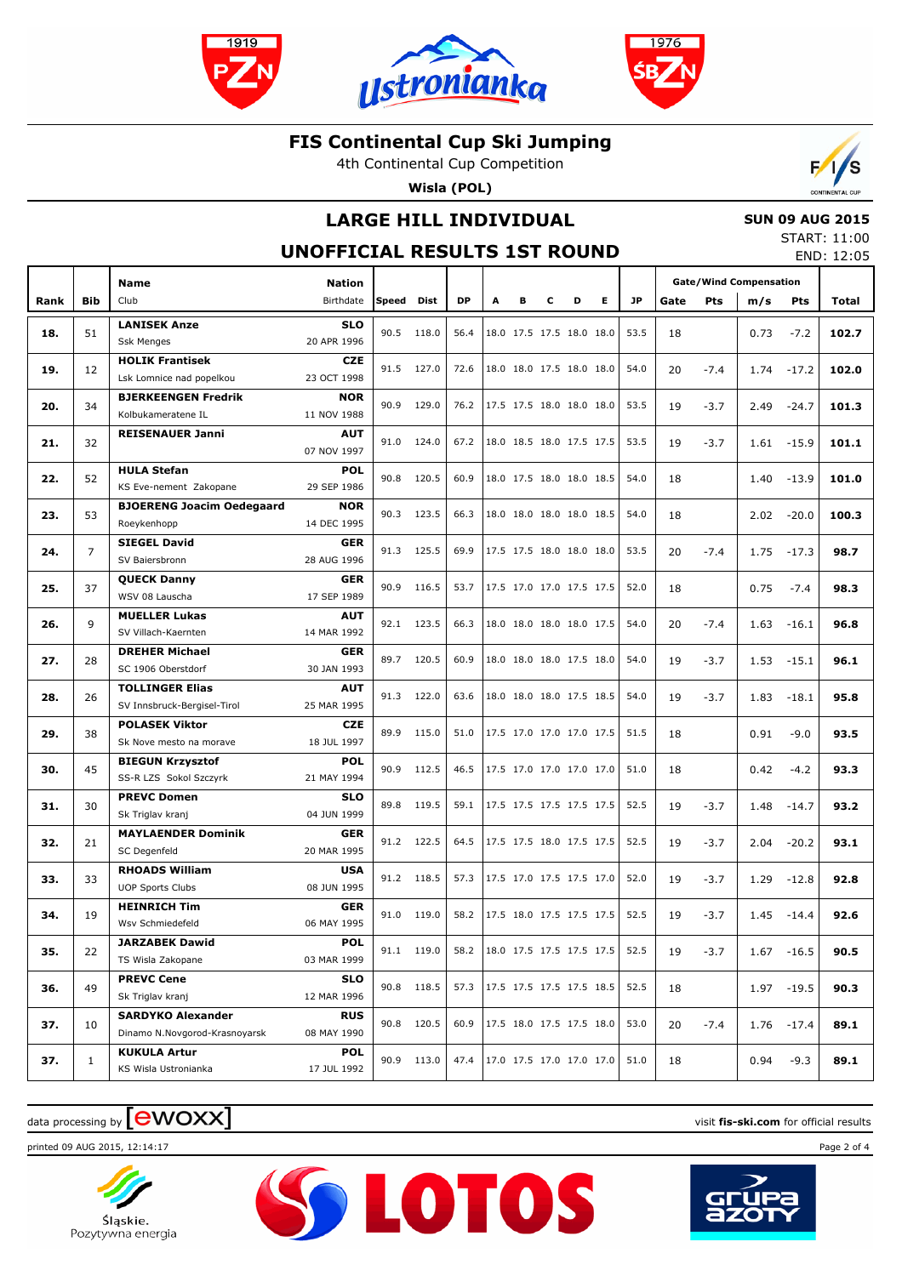





4th Continental Cup Competition

**Wisla (POL)**



## **LARGE HILL INDIVIDUAL**

### **SUN 09 AUG 2015**

#### **UNOFFICIAL RESULTS 1ST ROUND**

START: 11:00 END: 12:05

|      |                | <b>Name</b>                                 | <b>Nation</b>             |               |            |      |   |   |   |                          |                          |      | <b>Gate/Wind Compensation</b> |            |      |               |       |
|------|----------------|---------------------------------------------|---------------------------|---------------|------------|------|---|---|---|--------------------------|--------------------------|------|-------------------------------|------------|------|---------------|-------|
| Rank | Bib            | Club                                        | Birthdate                 | Speed         | Dist       | DP   | A | в | c | D                        | E.                       | JP.  | Gate                          | <b>Pts</b> | m/s  | <b>Pts</b>    | Total |
|      |                |                                             |                           |               |            |      |   |   |   |                          |                          |      |                               |            |      |               |       |
| 18.  | 51             | <b>LANISEK Anze</b><br><b>Ssk Menges</b>    | <b>SLO</b><br>20 APR 1996 | 90.5          | 118.0      | 56.4 |   |   |   | 18.0 17.5 17.5 18.0 18.0 |                          | 53.5 | 18                            |            | 0.73 | $-7.2$        | 102.7 |
|      |                | <b>HOLIK Frantisek</b>                      | <b>CZE</b>                |               |            |      |   |   |   |                          |                          |      |                               |            |      |               |       |
| 19.  | 12             | Lsk Lomnice nad popelkou                    | 23 OCT 1998               | 91.5          | 127.0      | 72.6 |   |   |   | 18.0 18.0 17.5 18.0 18.0 |                          | 54.0 | 20                            | $-7.4$     |      | $1.74 - 17.2$ | 102.0 |
|      |                | <b>BJERKEENGEN Fredrik</b>                  | <b>NOR</b>                |               |            |      |   |   |   |                          |                          |      |                               |            |      |               |       |
| 20.  | 34             | Kolbukameratene IL                          | 11 NOV 1988               | 90.9          | 129.0      | 76.2 |   |   |   | 17.5 17.5 18.0 18.0 18.0 |                          | 53.5 | 19                            | $-3.7$     | 2.49 | $-24.7$       | 101.3 |
|      |                | <b>REISENAUER Janni</b>                     | <b>AUT</b>                |               |            |      |   |   |   |                          |                          |      |                               |            |      |               |       |
| 21.  | 32             |                                             | 07 NOV 1997               | 91.0<br>124.0 |            | 67.2 |   |   |   | 18.0 18.5 18.0 17.5 17.5 |                          | 53.5 | 19                            | $-3.7$     |      | $1.61 - 15.9$ | 101.1 |
| 22.  | 52             | <b>HULA Stefan</b>                          | <b>POL</b>                |               | 120.5      | 60.9 |   |   |   |                          | 18.0 17.5 18.0 18.0 18.5 | 54.0 | 18                            |            | 1.40 | $-13.9$       | 101.0 |
|      |                | KS Eve-nement Zakopane                      | 29 SEP 1986               | 90.8          |            |      |   |   |   |                          |                          |      |                               |            |      |               |       |
| 23.  | 53             | <b>BJOERENG Joacim Oedegaard</b>            | <b>NOR</b>                | 90.3          | 123.5      | 66.3 |   |   |   |                          | 18.0 18.0 18.0 18.0 18.5 | 54.0 | 18                            |            | 2.02 | $-20.0$       | 100.3 |
|      |                | Roeykenhopp                                 | 14 DEC 1995               |               |            |      |   |   |   |                          |                          |      |                               |            |      |               |       |
| 24.  | $\overline{7}$ | <b>SIEGEL David</b>                         | <b>GER</b>                | 91.3          | 125.5      | 69.9 |   |   |   | 17.5 17.5 18.0 18.0 18.0 |                          | 53.5 | 20                            | $-7.4$     | 1.75 | $-17.3$       | 98.7  |
|      |                | SV Baiersbronn                              | 28 AUG 1996               |               |            |      |   |   |   |                          |                          |      |                               |            |      |               |       |
| 25.  | 37             | <b>QUECK Danny</b>                          | <b>GER</b>                | 90.9          | 116.5      | 53.7 |   |   |   | 17.5 17.0 17.0 17.5 17.5 |                          | 52.0 | 18                            |            | 0.75 | $-7.4$        | 98.3  |
|      |                | WSV 08 Lauscha                              | 17 SEP 1989               |               |            |      |   |   |   |                          |                          |      |                               |            |      |               |       |
| 26.  | 9              | <b>MUELLER Lukas</b>                        | <b>AUT</b>                |               | 92.1 123.5 | 66.3 |   |   |   | 18.0 18.0 18.0 18.0 17.5 |                          | 54.0 | 20                            | $-7.4$     | 1.63 | $-16.1$       | 96.8  |
|      |                | SV Villach-Kaernten                         | 14 MAR 1992               |               |            |      |   |   |   |                          |                          |      |                               |            |      |               |       |
| 27.  | 28             | <b>DREHER Michael</b><br>SC 1906 Oberstdorf | <b>GER</b><br>30 JAN 1993 | 89.7          | 120.5      | 60.9 |   |   |   | 18.0 18.0 18.0 17.5 18.0 |                          | 54.0 | 19                            | $-3.7$     | 1.53 | $-15.1$       | 96.1  |
|      |                | <b>TOLLINGER Elias</b>                      | <b>AUT</b>                |               |            |      |   |   |   |                          |                          |      |                               |            |      |               |       |
| 28.  | 26             | SV Innsbruck-Bergisel-Tirol                 | 25 MAR 1995               | 91.3          | 122.0      | 63.6 |   |   |   | 18.0 18.0 18.0 17.5 18.5 |                          | 54.0 | 19                            | $-3.7$     | 1.83 | $-18.1$       | 95.8  |
|      |                | <b>POLASEK Viktor</b>                       | <b>CZE</b>                |               |            |      |   |   |   |                          |                          |      |                               |            |      |               |       |
| 29.  | 38             | Sk Nove mesto na morave                     | 18 JUL 1997               | 89.9          | 115.0      | 51.0 |   |   |   | 17.5 17.0 17.0 17.0 17.5 |                          | 51.5 | 18                            |            | 0.91 | $-9.0$        | 93.5  |
|      |                | <b>BIEGUN Krzysztof</b>                     | <b>POL</b>                |               |            |      |   |   |   |                          |                          |      |                               |            |      |               |       |
| 30.  | 45             | SS-R LZS Sokol Szczyrk                      | 21 MAY 1994               | 90.9          | 112.5      | 46.5 |   |   |   | 17.5 17.0 17.0 17.0 17.0 |                          | 51.0 | 18                            |            | 0.42 | $-4.2$        | 93.3  |
| 31.  | 30             | <b>PREVC Domen</b>                          | <b>SLO</b>                | 89.8          | 119.5      | 59.1 |   |   |   | 17.5 17.5 17.5 17.5 17.5 |                          | 52.5 | 19                            | $-3.7$     | 1.48 | $-14.7$       | 93.2  |
|      |                | Sk Triglav kranj                            | 04 JUN 1999               |               |            |      |   |   |   |                          |                          |      |                               |            |      |               |       |
| 32.  | 21             | <b>MAYLAENDER Dominik</b>                   | <b>GER</b>                |               | 91.2 122.5 | 64.5 |   |   |   | 17.5 17.5 18.0 17.5 17.5 |                          | 52.5 | 19                            | $-3.7$     | 2.04 | $-20.2$       | 93.1  |
|      |                | SC Degenfeld                                | 20 MAR 1995               |               |            |      |   |   |   |                          |                          |      |                               |            |      |               |       |
| 33.  | 33             | <b>RHOADS William</b>                       | <b>USA</b>                |               | 91.2 118.5 | 57.3 |   |   |   | 17.5 17.0 17.5 17.5 17.0 |                          | 52.0 | 19                            | $-3.7$     | 1.29 | $-12.8$       | 92.8  |
|      |                | <b>UOP Sports Clubs</b>                     | 08 JUN 1995               |               |            |      |   |   |   |                          |                          |      |                               |            |      |               |       |
| 34.  | 19             | <b>HEINRICH Tim</b>                         | <b>GER</b><br>06 MAY 1995 | 91.0          | 119.0      | 58.2 |   |   |   | 17.5 18.0 17.5 17.5 17.5 |                          | 52.5 | 19                            | $-3.7$     | 1.45 | $-14.4$       | 92.6  |
|      |                | Wsv Schmiedefeld<br><b>JARZABEK Dawid</b>   | <b>POL</b>                |               |            |      |   |   |   |                          |                          |      |                               |            |      |               |       |
| 35.  | 22             | TS Wisla Zakopane                           | 03 MAR 1999               |               | 91.1 119.0 | 58.2 |   |   |   | 18.0 17.5 17.5 17.5 17.5 |                          | 52.5 | 19                            | $-3.7$     |      | $1.67 - 16.5$ | 90.5  |
|      |                | <b>PREVC Cene</b>                           | <b>SLO</b>                |               |            |      |   |   |   |                          |                          |      |                               |            |      |               |       |
| 36.  | 49             | Sk Triglav kranj                            | 12 MAR 1996               |               | 90.8 118.5 | 57.3 |   |   |   | 17.5 17.5 17.5 17.5 18.5 |                          | 52.5 | 18                            |            |      | 1.97 -19.5    | 90.3  |
|      |                | <b>SARDYKO Alexander</b>                    | <b>RUS</b>                |               |            |      |   |   |   |                          |                          |      |                               |            |      |               |       |
| 37.  | 10             | Dinamo N.Novgorod-Krasnoyarsk               | 08 MAY 1990               | 90.8          | 120.5      | 60.9 |   |   |   | 17.5 18.0 17.5 17.5 18.0 |                          | 53.0 | 20                            | $-7.4$     |      | $1.76 - 17.4$ | 89.1  |
|      |                | <b>KUKULA Artur</b>                         | <b>POL</b>                |               |            |      |   |   |   |                          |                          |      |                               |            |      |               |       |
| 37.  | $\mathbf{1}$   | KS Wisla Ustronianka                        | 17 JUL 1992               |               | 90.9 113.0 | 47.4 |   |   |   | 17.0 17.5 17.0 17.0 17.0 |                          | 51.0 | 18                            |            | 0.94 | $-9.3$        | 89.1  |

**SSLOTOS** 

## $\frac{1}{2}$  data processing by  $\boxed{\text{ewOX}}$

printed 09 AUG 2015, 12:14:17 Page 2 of 4



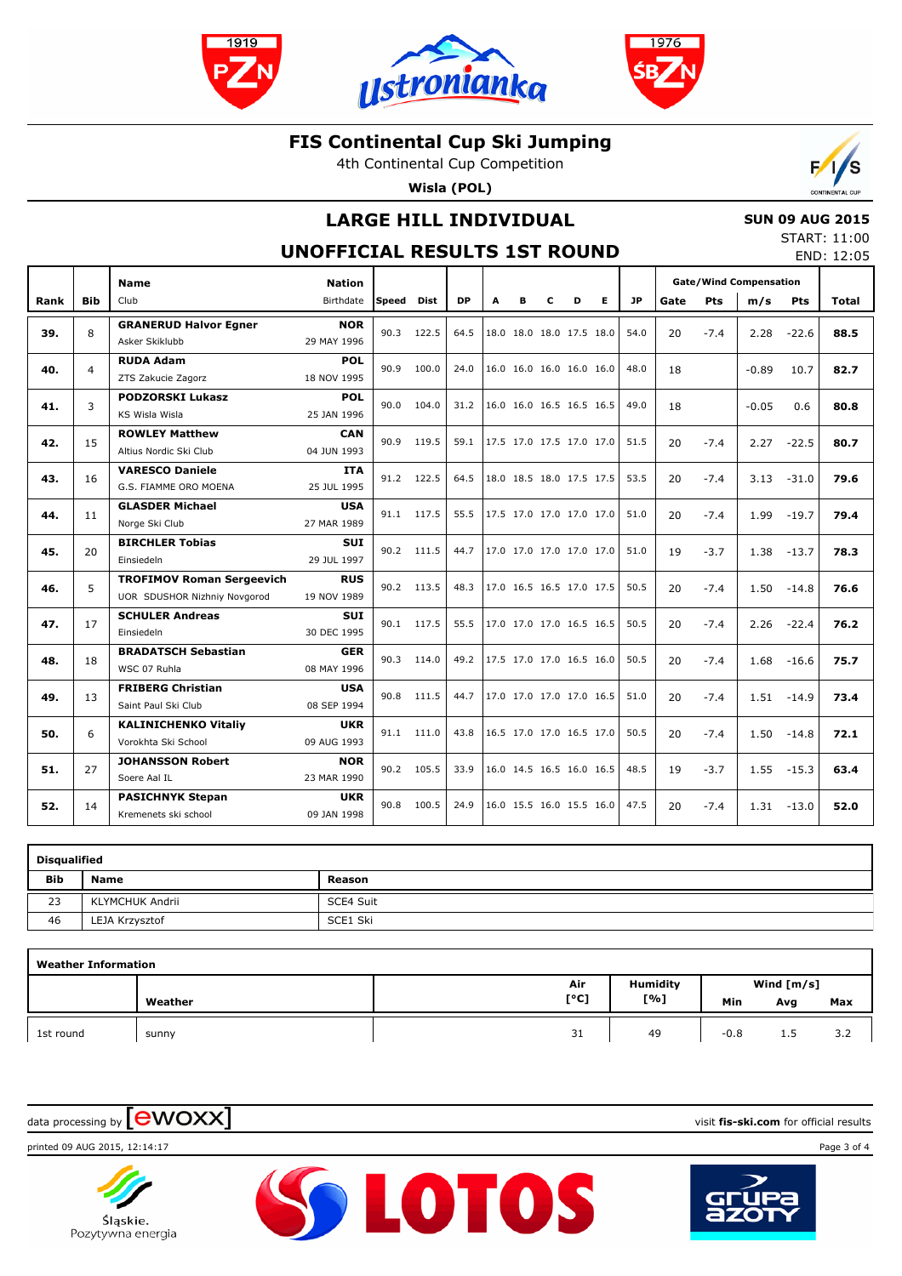





4th Continental Cup Competition

**Wisla (POL)**



## **LARGE HILL INDIVIDUAL**

### **SUN 09 AUG 2015**

#### **UNOFFICIAL RESULTS 1ST ROUND**

START: 11:00 END: 12:05

|      |            | <b>Name</b>                                                      | <b>Nation</b>             |       |            |           |   |                          |   |   |   |           |      |        | <b>Gate/Wind Compensation</b> |            |       |
|------|------------|------------------------------------------------------------------|---------------------------|-------|------------|-----------|---|--------------------------|---|---|---|-----------|------|--------|-------------------------------|------------|-------|
| Rank | <b>Bib</b> | Club                                                             | Birthdate                 | Speed | Dist       | <b>DP</b> | A | в                        | c | D | Е | <b>JP</b> | Gate | Pts    | m/s                           | <b>Pts</b> | Total |
| 39.  | 8          | <b>GRANERUD Halvor Egner</b><br>Asker Skiklubb                   | <b>NOR</b><br>29 MAY 1996 | 90.3  | 122.5      | 64.5      |   | 18.0 18.0 18.0 17.5 18.0 |   |   |   | 54.0      | 20   | $-7.4$ | 2.28                          | $-22.6$    | 88.5  |
| 40.  | 4          | <b>RUDA Adam</b><br>ZTS Zakucie Zagorz                           | POL<br>18 NOV 1995        | 90.9  | 100.0      | 24.0      |   | 16.0 16.0 16.0 16.0 16.0 |   |   |   | 48.0      | 18   |        | $-0.89$                       | 10.7       | 82.7  |
| 41.  | 3          | <b>PODZORSKI Lukasz</b><br>KS Wisla Wisla                        | <b>POL</b><br>25 JAN 1996 | 90.0  | 104.0      | 31.2      |   | 16.0 16.0 16.5 16.5 16.5 |   |   |   | 49.0      | 18   |        | $-0.05$                       | 0.6        | 80.8  |
| 42.  | 15         | <b>ROWLEY Matthew</b><br>Altius Nordic Ski Club                  | <b>CAN</b><br>04 JUN 1993 | 90.9  | 119.5      | 59.1      |   | 17.5 17.0 17.5 17.0 17.0 |   |   |   | 51.5      | 20   | $-7.4$ | 2.27                          | $-22.5$    | 80.7  |
| 43.  | 16         | <b>VARESCO Daniele</b><br>G.S. FIAMME ORO MOENA                  | <b>ITA</b><br>25 JUL 1995 | 91.2  | 122.5      | 64.5      |   | 18.0 18.5 18.0 17.5 17.5 |   |   |   | 53.5      | 20   | $-7.4$ | 3.13                          | $-31.0$    | 79.6  |
| 44.  | 11         | <b>GLASDER Michael</b><br>Norge Ski Club                         | <b>USA</b><br>27 MAR 1989 |       | 91.1 117.5 | 55.5      |   | 17.5 17.0 17.0 17.0 17.0 |   |   |   | 51.0      | 20   | $-7.4$ | 1.99                          | $-19.7$    | 79.4  |
| 45.  | 20         | <b>BIRCHLER Tobias</b><br>Einsiedeln                             | <b>SUI</b><br>29 JUL 1997 | 90.2  | 111.5      | 44.7      |   | 17.0 17.0 17.0 17.0 17.0 |   |   |   | 51.0      | 19   | $-3.7$ | 1.38                          | $-13.7$    | 78.3  |
| 46.  | 5          | <b>TROFIMOV Roman Sergeevich</b><br>UOR SDUSHOR Nizhniy Novgorod | <b>RUS</b><br>19 NOV 1989 |       | 90.2 113.5 | 48.3      |   | 17.0 16.5 16.5 17.0 17.5 |   |   |   | 50.5      | 20   | $-7.4$ | 1.50                          | $-14.8$    | 76.6  |
| 47.  | 17         | <b>SCHULER Andreas</b><br>Einsiedeln                             | <b>SUI</b><br>30 DEC 1995 | 90.1  | 117.5      | 55.5      |   | 17.0 17.0 17.0 16.5 16.5 |   |   |   | 50.5      | 20   | $-7.4$ | 2.26                          | $-22.4$    | 76.2  |
| 48.  | 18         | <b>BRADATSCH Sebastian</b><br>WSC 07 Ruhla                       | <b>GER</b><br>08 MAY 1996 | 90.3  | 114.0      | 49.2      |   | 17.5 17.0 17.0 16.5 16.0 |   |   |   | 50.5      | 20   | $-7.4$ | 1.68                          | $-16.6$    | 75.7  |
| 49.  | 13         | <b>FRIBERG Christian</b><br>Saint Paul Ski Club                  | <b>USA</b><br>08 SEP 1994 |       | 90.8 111.5 | 44.7      |   | 17.0 17.0 17.0 17.0 16.5 |   |   |   | 51.0      | 20   | $-7.4$ | 1.51                          | $-14.9$    | 73.4  |
| 50.  | 6          | <b>KALINICHENKO Vitaliy</b><br>Vorokhta Ski School               | <b>UKR</b><br>09 AUG 1993 | 91.1  | 111.0      | 43.8      |   | 16.5 17.0 17.0 16.5 17.0 |   |   |   | 50.5      | 20   | $-7.4$ | 1.50                          | $-14.8$    | 72.1  |
| 51.  | 27         | <b>JOHANSSON Robert</b><br>Soere Aal IL                          | <b>NOR</b><br>23 MAR 1990 | 90.2  | 105.5      | 33.9      |   | 16.0 14.5 16.5 16.0 16.5 |   |   |   | 48.5      | 19   | $-3.7$ | 1.55                          | $-15.3$    | 63.4  |
| 52.  | 14         | <b>PASICHNYK Stepan</b><br>Kremenets ski school                  | <b>UKR</b><br>09 JAN 1998 | 90.8  | 100.5      | 24.9      |   | 16.0 15.5 16.0 15.5 16.0 |   |   |   | 47.5      | 20   | $-7.4$ | 1.31                          | $-13.0$    | 52.0  |

| Disqualified |                 |           |  |  |  |  |  |  |  |  |
|--------------|-----------------|-----------|--|--|--|--|--|--|--|--|
| <b>Bib</b>   | Name            | Reason    |  |  |  |  |  |  |  |  |
| 23           | KLYMCHUK Andrii | SCE4 Suit |  |  |  |  |  |  |  |  |
| 46           | LEJA Krzysztof  | SCE1 Ski  |  |  |  |  |  |  |  |  |

| <b>Weather Information</b> |         |      |                 |              |     |     |  |  |
|----------------------------|---------|------|-----------------|--------------|-----|-----|--|--|
|                            |         | Air  | <b>Humidity</b> | Wind $[m/s]$ |     |     |  |  |
|                            | Weather | [°C] | [%]             | Min          | Avg | Max |  |  |
| 1st round                  | sunny   | 31   | 49              | $-0.8$       | 1.5 | 3.2 |  |  |

SS LOTOS

data processing by **CWOXX** and  $\blacksquare$  and  $\blacksquare$  and  $\blacksquare$  and  $\blacksquare$  and  $\blacksquare$  and  $\blacksquare$  and  $\blacksquare$  and  $\blacksquare$  and  $\blacksquare$  and  $\blacksquare$  and  $\blacksquare$  and  $\blacksquare$  and  $\blacksquare$  and  $\blacksquare$  and  $\blacksquare$  and  $\blacksquare$  and  $\blacksquare$  and  $\blacks$